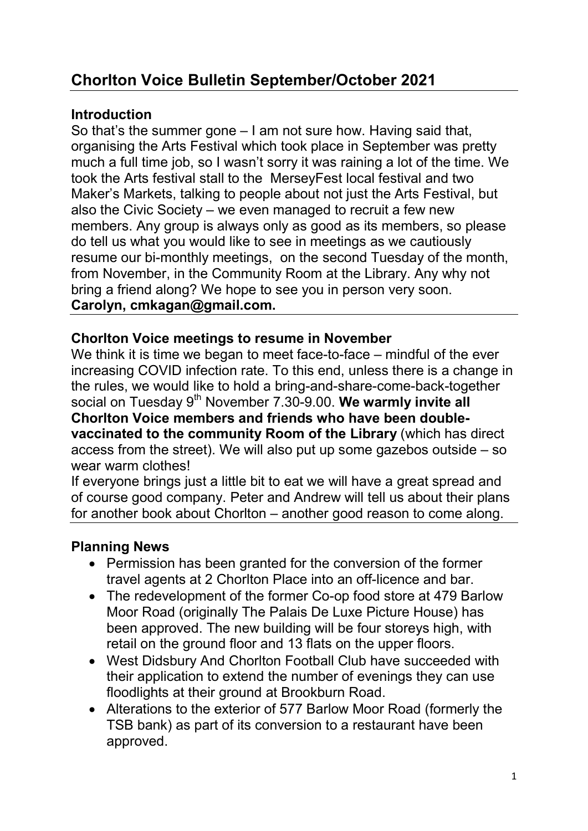# Chorlton Voice Bulletin September/October 2021

### **Introduction**

So that's the summer gone – I am not sure how. Having said that, organising the Arts Festival which took place in September was pretty much a full time job, so I wasn't sorry it was raining a lot of the time. We took the Arts festival stall to the MerseyFest local festival and two Maker's Markets, talking to people about not just the Arts Festival, but also the Civic Society – we even managed to recruit a few new members. Any group is always only as good as its members, so please do tell us what you would like to see in meetings as we cautiously resume our bi-monthly meetings, on the second Tuesday of the month, from November, in the Community Room at the Library. Any why not bring a friend along? We hope to see you in person very soon. Carolyn, cmkagan@gmail.com.

### Chorlton Voice meetings to resume in November

We think it is time we began to meet face-to-face – mindful of the ever increasing COVID infection rate. To this end, unless there is a change in the rules, we would like to hold a bring-and-share-come-back-together social on Tuesday 9<sup>th</sup> November 7.30-9.00. We warmly invite all Chorlton Voice members and friends who have been doublevaccinated to the community Room of the Library (which has direct access from the street). We will also put up some gazebos outside – so wear warm clothes!

If everyone brings just a little bit to eat we will have a great spread and of course good company. Peter and Andrew will tell us about their plans for another book about Chorlton – another good reason to come along.

# Planning News

- Permission has been granted for the conversion of the former travel agents at 2 Chorlton Place into an off-licence and bar.
- The redevelopment of the former Co-op food store at 479 Barlow Moor Road (originally The Palais De Luxe Picture House) has been approved. The new building will be four storeys high, with retail on the ground floor and 13 flats on the upper floors.
- West Didsbury And Chorlton Football Club have succeeded with their application to extend the number of evenings they can use floodlights at their ground at Brookburn Road.
- Alterations to the exterior of 577 Barlow Moor Road (formerly the TSB bank) as part of its conversion to a restaurant have been approved.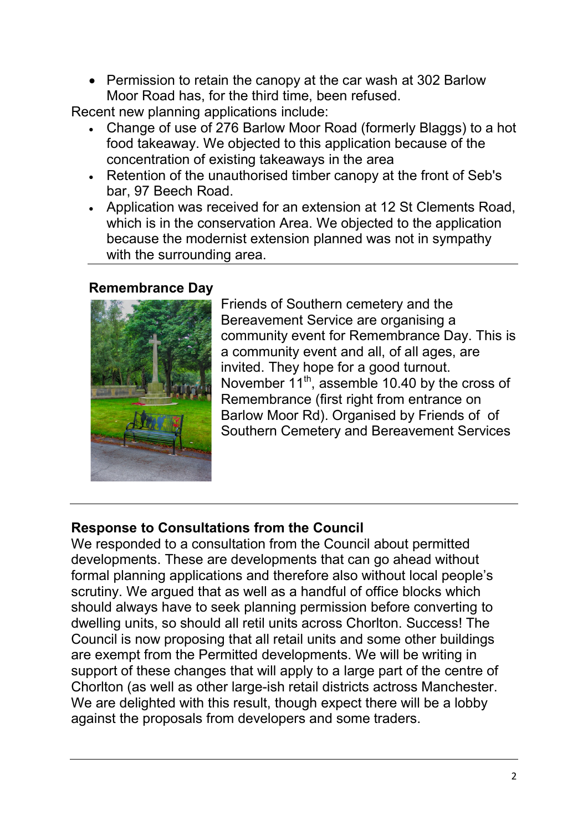• Permission to retain the canopy at the car wash at 302 Barlow Moor Road has, for the third time, been refused.

Recent new planning applications include:

- Change of use of 276 Barlow Moor Road (formerly Blaggs) to a hot food takeaway. We objected to this application because of the concentration of existing takeaways in the area
- Retention of the unauthorised timber canopy at the front of Seb's bar, 97 Beech Road.
- Application was received for an extension at 12 St Clements Road, which is in the conservation Area. We objected to the application because the modernist extension planned was not in sympathy with the surrounding area.

### Remembrance Day



Friends of Southern cemetery and the Bereavement Service are organising a community event for Remembrance Day. This is a community event and all, of all ages, are invited. They hope for a good turnout. November  $11^{th}$ , assemble 10.40 by the cross of Remembrance (first right from entrance on Barlow Moor Rd). Organised by Friends of of Southern Cemetery and Bereavement Services

# Response to Consultations from the Council

We responded to a consultation from the Council about permitted developments. These are developments that can go ahead without formal planning applications and therefore also without local people's scrutiny. We argued that as well as a handful of office blocks which should always have to seek planning permission before converting to dwelling units, so should all retil units across Chorlton. Success! The Council is now proposing that all retail units and some other buildings are exempt from the Permitted developments. We will be writing in support of these changes that will apply to a large part of the centre of Chorlton (as well as other large-ish retail districts actross Manchester. We are delighted with this result, though expect there will be a lobby against the proposals from developers and some traders.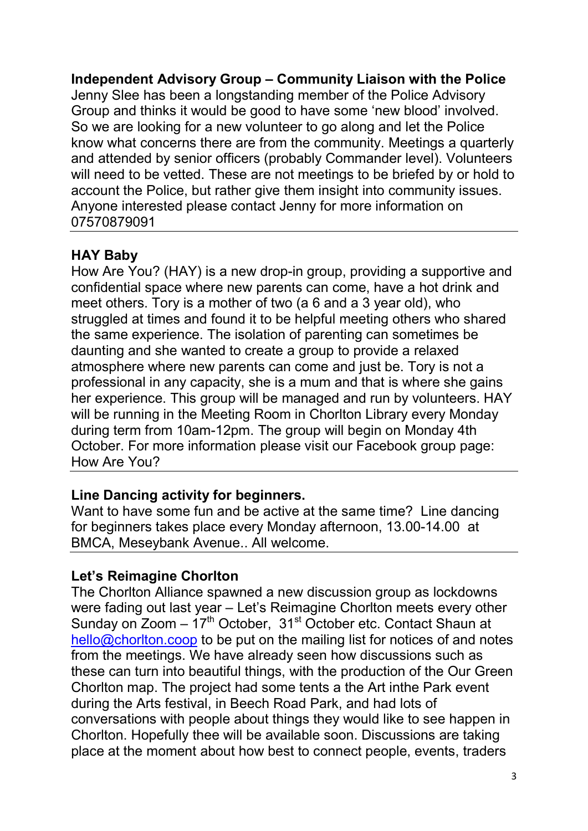Independent Advisory Group – Community Liaison with the Police Jenny Slee has been a longstanding member of the Police Advisory Group and thinks it would be good to have some 'new blood' involved. So we are looking for a new volunteer to go along and let the Police know what concerns there are from the community. Meetings a quarterly and attended by senior officers (probably Commander level). Volunteers will need to be vetted. These are not meetings to be briefed by or hold to account the Police, but rather give them insight into community issues. Anyone interested please contact Jenny for more information on 07570879091

# HAY Baby

How Are You? (HAY) is a new drop-in group, providing a supportive and confidential space where new parents can come, have a hot drink and meet others. Tory is a mother of two (a 6 and a 3 year old), who struggled at times and found it to be helpful meeting others who shared the same experience. The isolation of parenting can sometimes be daunting and she wanted to create a group to provide a relaxed atmosphere where new parents can come and just be. Tory is not a professional in any capacity, she is a mum and that is where she gains her experience. This group will be managed and run by volunteers. HAY will be running in the Meeting Room in Chorlton Library every Monday during term from 10am-12pm. The group will begin on Monday 4th October. For more information please visit our Facebook group page: How Are You?

# Line Dancing activity for beginners.

Want to have some fun and be active at the same time? Line dancing for beginners takes place every Monday afternoon, 13.00-14.00 at BMCA, Meseybank Avenue.. All welcome.

# Let's Reimagine Chorlton

The Chorlton Alliance spawned a new discussion group as lockdowns were fading out last year – Let's Reimagine Chorlton meets every other Sunday on  $Z$ oom –  $17<sup>th</sup>$  October,  $31<sup>st</sup>$  October etc. Contact Shaun at hello@chorlton.coop to be put on the mailing list for notices of and notes from the meetings. We have already seen how discussions such as these can turn into beautiful things, with the production of the Our Green Chorlton map. The project had some tents a the Art inthe Park event during the Arts festival, in Beech Road Park, and had lots of conversations with people about things they would like to see happen in Chorlton. Hopefully thee will be available soon. Discussions are taking place at the moment about how best to connect people, events, traders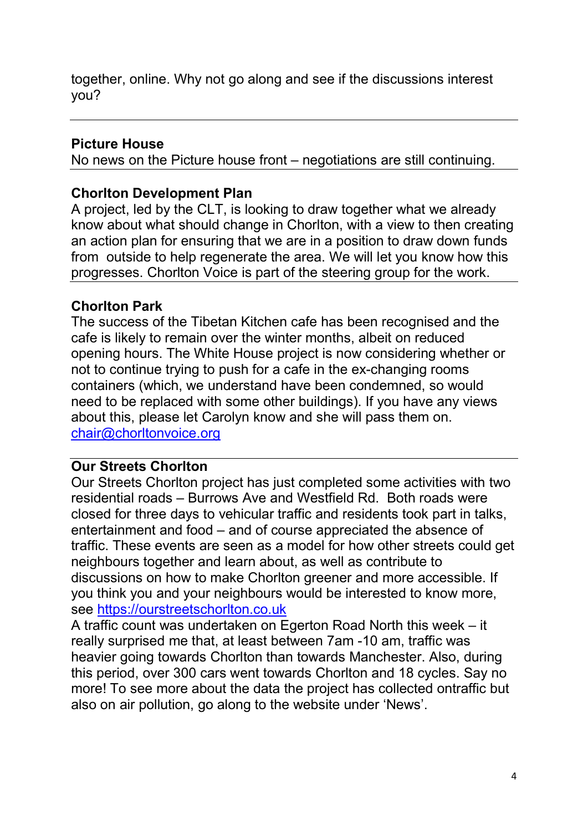together, online. Why not go along and see if the discussions interest you?

### Picture House

No news on the Picture house front – negotiations are still continuing.

### Chorlton Development Plan

A project, led by the CLT, is looking to draw together what we already know about what should change in Chorlton, with a view to then creating an action plan for ensuring that we are in a position to draw down funds from outside to help regenerate the area. We will let you know how this progresses. Chorlton Voice is part of the steering group for the work.

### Chorlton Park

The success of the Tibetan Kitchen cafe has been recognised and the cafe is likely to remain over the winter months, albeit on reduced opening hours. The White House project is now considering whether or not to continue trying to push for a cafe in the ex-changing rooms containers (which, we understand have been condemned, so would need to be replaced with some other buildings). If you have any views about this, please let Carolyn know and she will pass them on. chair@chorltonvoice.org

#### Our Streets Chorlton

Our Streets Chorlton project has just completed some activities with two residential roads – Burrows Ave and Westfield Rd. Both roads were closed for three days to vehicular traffic and residents took part in talks, entertainment and food – and of course appreciated the absence of traffic. These events are seen as a model for how other streets could get neighbours together and learn about, as well as contribute to discussions on how to make Chorlton greener and more accessible. If you think you and your neighbours would be interested to know more, see https://ourstreetschorlton.co.uk

A traffic count was undertaken on Egerton Road North this week – it really surprised me that, at least between 7am -10 am, traffic was heavier going towards Chorlton than towards Manchester. Also, during this period, over 300 cars went towards Chorlton and 18 cycles. Say no more! To see more about the data the project has collected ontraffic but also on air pollution, go along to the website under 'News'.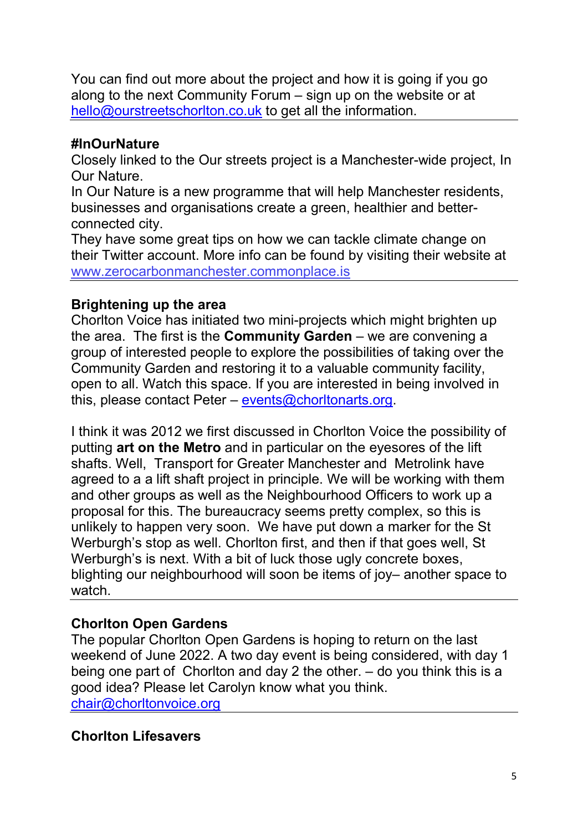You can find out more about the project and how it is going if you go along to the next Community Forum – sign up on the website or at hello@ourstreetschorlton.co.uk to get all the information.

#### #InOurNature

Closely linked to the Our streets project is a Manchester-wide project, In Our Nature.

In Our Nature is a new programme that will help Manchester residents, businesses and organisations create a green, healthier and betterconnected city.

They have some great tips on how we can tackle climate change on their Twitter account. More info can be found by visiting their website at www.zerocarbonmanchester.commonplace.is

#### Brightening up the area

Chorlton Voice has initiated two mini-projects which might brighten up the area. The first is the **Community Garden** – we are convening a group of interested people to explore the possibilities of taking over the Community Garden and restoring it to a valuable community facility, open to all. Watch this space. If you are interested in being involved in this, please contact Peter – events@chorltonarts.org.

I think it was 2012 we first discussed in Chorlton Voice the possibility of putting art on the Metro and in particular on the eyesores of the lift shafts. Well, Transport for Greater Manchester and Metrolink have agreed to a a lift shaft project in principle. We will be working with them and other groups as well as the Neighbourhood Officers to work up a proposal for this. The bureaucracy seems pretty complex, so this is unlikely to happen very soon. We have put down a marker for the St Werburgh's stop as well. Chorlton first, and then if that goes well, St Werburgh's is next. With a bit of luck those ugly concrete boxes, blighting our neighbourhood will soon be items of joy– another space to watch.

# Chorlton Open Gardens

The popular Chorlton Open Gardens is hoping to return on the last weekend of June 2022. A two day event is being considered, with day 1 being one part of Chorlton and day 2 the other. – do you think this is a good idea? Please let Carolyn know what you think. chair@chorltonvoice.org

# Chorlton Lifesavers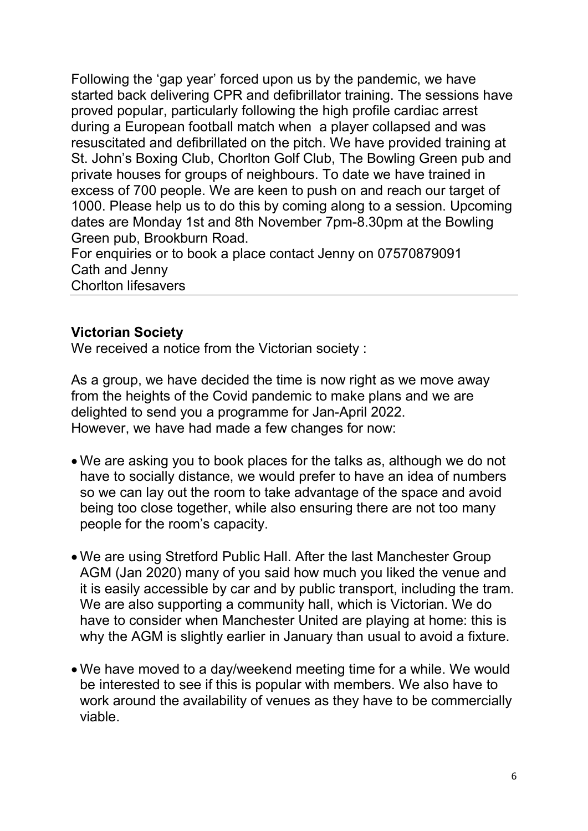Following the 'gap year' forced upon us by the pandemic, we have started back delivering CPR and defibrillator training. The sessions have proved popular, particularly following the high profile cardiac arrest during a European football match when a player collapsed and was resuscitated and defibrillated on the pitch. We have provided training at St. John's Boxing Club, Chorlton Golf Club, The Bowling Green pub and private houses for groups of neighbours. To date we have trained in excess of 700 people. We are keen to push on and reach our target of 1000. Please help us to do this by coming along to a session. Upcoming dates are Monday 1st and 8th November 7pm-8.30pm at the Bowling Green pub, Brookburn Road.

For enquiries or to book a place contact Jenny on 07570879091 Cath and Jenny Chorlton lifesavers

#### Victorian Society

We received a notice from the Victorian society :

As a group, we have decided the time is now right as we move away from the heights of the Covid pandemic to make plans and we are delighted to send you a programme for Jan-April 2022. However, we have had made a few changes for now:

- We are asking you to book places for the talks as, although we do not have to socially distance, we would prefer to have an idea of numbers so we can lay out the room to take advantage of the space and avoid being too close together, while also ensuring there are not too many people for the room's capacity.
- We are using Stretford Public Hall. After the last Manchester Group AGM (Jan 2020) many of you said how much you liked the venue and it is easily accessible by car and by public transport, including the tram. We are also supporting a community hall, which is Victorian. We do have to consider when Manchester United are playing at home: this is why the AGM is slightly earlier in January than usual to avoid a fixture.
- We have moved to a day/weekend meeting time for a while. We would be interested to see if this is popular with members. We also have to work around the availability of venues as they have to be commercially viable.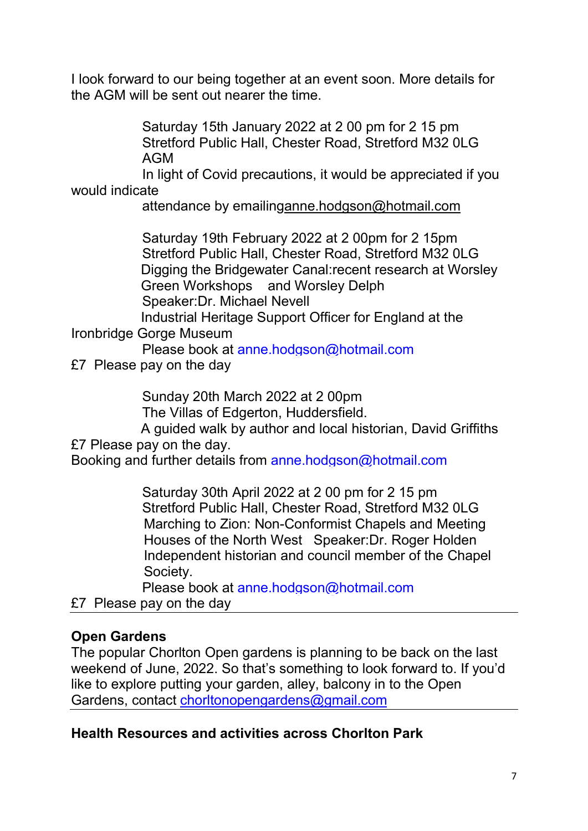I look forward to our being together at an event soon. More details for the AGM will be sent out nearer the time.

> Saturday 15th January 2022 at 2 00 pm for 2 15 pm Stretford Public Hall, Chester Road, Stretford M32 0LG AGM

 In light of Covid precautions, it would be appreciated if you would indicate

attendance by emailinganne.hodgson@hotmail.com

 Saturday 19th February 2022 at 2 00pm for 2 15pm Stretford Public Hall, Chester Road, Stretford M32 0LG Digging the Bridgewater Canal:recent research at Worsley Green Workshops and Worsley Delph Speaker:Dr. Michael Nevell

Industrial Heritage Support Officer for England at the Ironbridge Gorge Museum

Please book at anne.hodgson@hotmail.com

£7 Please pay on the day

Sunday 20th March 2022 at 2 00pm

The Villas of Edgerton, Huddersfield.

A guided walk by author and local historian, David Griffiths £7 Please pay on the day.

Booking and further details from anne.hodgson@hotmail.com

 Saturday 30th April 2022 at 2 00 pm for 2 15 pm Stretford Public Hall, Chester Road, Stretford M32 0LG Marching to Zion: Non-Conformist Chapels and Meeting Houses of the North West Speaker:Dr. Roger Holden Independent historian and council member of the Chapel Society.

Please book at anne.hodgson@hotmail.com

£7 Please pay on the day

# Open Gardens

The popular Chorlton Open gardens is planning to be back on the last weekend of June, 2022. So that's something to look forward to. If you'd like to explore putting your garden, alley, balcony in to the Open Gardens, contact chorltonopengardens@gmail.com

# Health Resources and activities across Chorlton Park